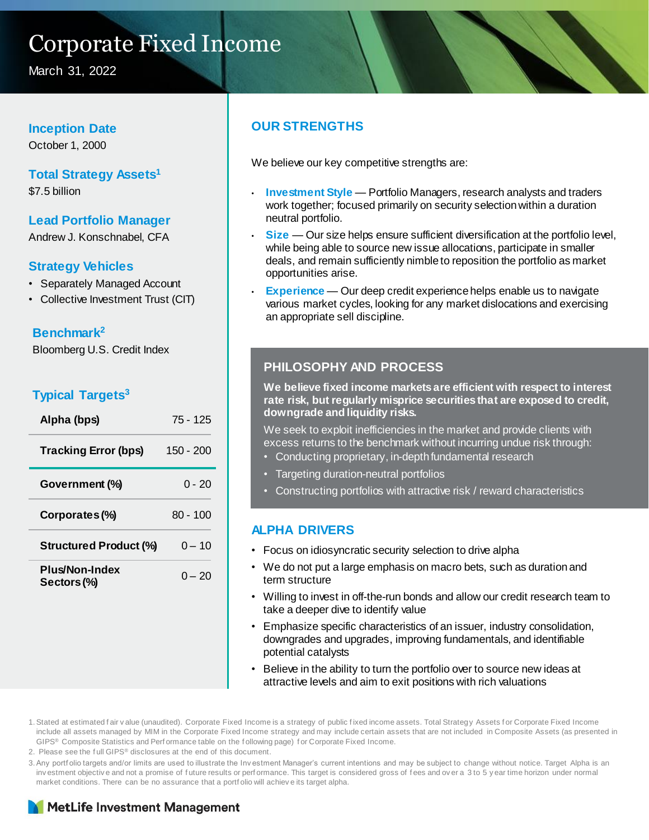# Corporate Fixed Income

March 31, 2022

#### **Inception Date**

October 1, 2000

# **Total Strategy Assets<sup>1</sup>**

\$7.5 billion

#### **Lead Portfolio Manager**

Andrew J. Konschnabel, CFA

#### **Strategy Vehicles**

- Separately Managed Account
- Collective Investment Trust (CIT)

#### **Benchmark<sup>2</sup>**

Bloomberg U.S. Credit Index

### **Typical Targets<sup>3</sup>**

| Alpha (bps)                   | $75 - 125$ |
|-------------------------------|------------|
| <b>Tracking Error (bps)</b>   | 150 - 200  |
| Government (%)                | $0 - 20$   |
| Corporates (%)                | $80 - 100$ |
| <b>Structured Product (%)</b> | $0 - 10$   |
| Plus/Non-Index<br>Sectors (%) | $0 - 20$   |

# **OUR STRENGTHS**

We believe our key competitive strengths are:

- **Investment Style**  Portfolio Managers, research analysts and traders work together; focused primarily on security selection within a duration neutral portfolio.
- **Size** Our size helps ensure sufficient diversification at the portfolio level, while being able to source new issue allocations, participate in smaller deals, and remain sufficiently nimble to reposition the portfolio as market opportunities arise.
- **Experience** Our deep credit experience helps enable us to navigate various market cycles, looking for any market dislocations and exercising an appropriate sell discipline.

### **PHILOSOPHY AND PROCESS**

**We believe fixed income markets are efficient with respect to interest rate risk, but regularly misprice securities that are exposed to credit, downgrade and liquidity risks.** 

We seek to exploit inefficiencies in the market and provide clients with excess returns to the benchmark without incurring undue risk through:

- Conducting proprietary, in-depth fundamental research
- Targeting duration-neutral portfolios
- Constructing portfolios with attractive risk / reward characteristics

#### **ALPHA DRIVERS**

- Focus on idiosyncratic security selection to drive alpha
- We do not put a large emphasis on macro bets, such as duration and term structure
- Willing to invest in off-the-run bonds and allow our credit research team to take a deeper dive to identify value
- Emphasize specific characteristics of an issuer, industry consolidation, downgrades and upgrades, improving fundamentals, and identifiable potential catalysts
- Believe in the ability to turn the portfolio over to source new ideas at attractive levels and aim to exit positions with rich valuations

1.Stated at estimated f air v alue (unaudited). Corporate Fixed Income is a strategy of public f ixed income assets. Total Strategy Assets f or Corporate Fixed Income include all assets managed by MIM in the Corporate Fixed Income strategy and may include certain assets that are not included in Composite Assets (as presented in GIPS® Composite Statistics and Perf ormance table on the f ollowing page) f or Corporate Fixed Income.

2. Please see the f ull GIPS® disclosures at the end of this document.

3.Any portf olio targets and/or limits are used to illustrate the Inv estment Manager's current intentions and may be subject to change without notice. Target Alpha is an inv estment objective and not a promise of future results or performance. This target is considered gross of fees and over a 3 to 5 y ear time horizon under normal market conditions. There can be no assurance that a portf olio will achiev e its target alpha.

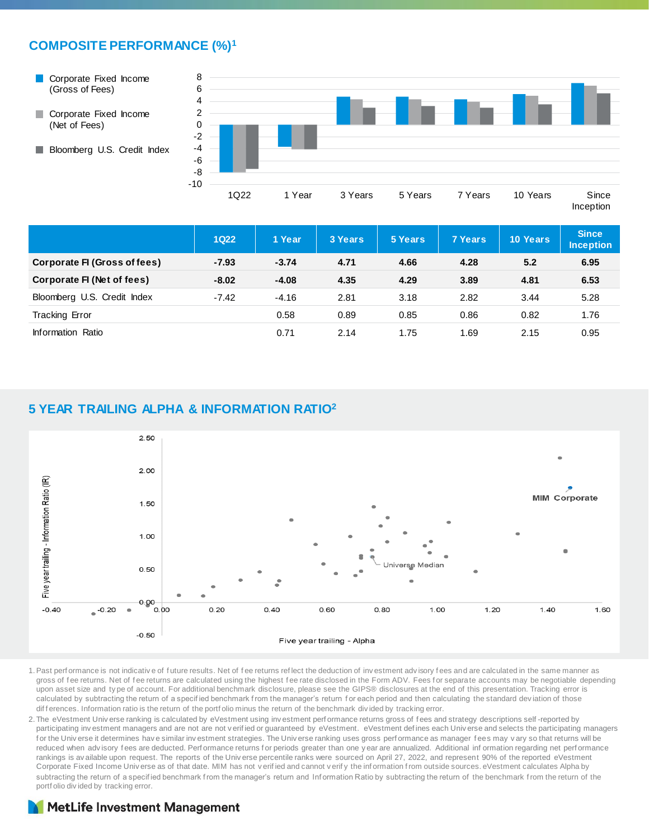# **COMPOSITE PERFORMANCE (%)<sup>1</sup>**

Corporate Fixed Income  $\sim$ (Gross of Fees)



Bloomberg U.S. Credit Index



|                                        | <b>1Q22</b> | 1 Year  | 3 Years | 5 Years | <b>7 Years</b> | <b>10 Years</b> | <b>Since</b><br><b>Inception</b> |
|----------------------------------------|-------------|---------|---------|---------|----------------|-----------------|----------------------------------|
| Corporate FI (Gross of fees)           | $-7.93$     | $-3.74$ | 4.71    | 4.66    | 4.28           | 5.2             | 6.95                             |
| Corporate FI (Net of fees)             | $-8.02$     | $-4.08$ | 4.35    | 4.29    | 3.89           | 4.81            | 6.53                             |
| Bloomberg U.S. Credit Index<br>$-7.42$ |             | $-4.16$ | 2.81    | 3.18    | 2.82           | 3.44            | 5.28                             |
| <b>Tracking Error</b>                  |             | 0.58    | 0.89    | 0.85    | 0.86           | 0.82            | 1.76                             |
| Information Ratio                      |             | 0.71    | 2.14    | 1.75    | 1.69           | 2.15            | 0.95                             |

#### **5 YEAR TRAILING ALPHA & INFORMATION RATIO<sup>2</sup>**



1.Past perf ormance is not indicativ e of f uture results. Net of f ee returns ref lect the deduction of inv estment adv isory f ees and are calculated in the same manner as gross of fee returns. Net of fee returns are calculated using the highest fee rate disclosed in the Form ADV. Fees for separate accounts may be negotiable depending upon asset size and ty pe of account. For additional benchmark disclosure, please see the GIPS® disclosures at the end of this presentation. Tracking error is calculated by subtracting the return of a specified benchmark from the manager's return for each period and then calculating the standard deviation of those dif f erences. Information ratio is the return of the portf olio minus the return of the benchmark div ided by tracking error.

2. The eVestment Univ erse ranking is calculated by eVestment using investment perf ormance returns gross of fees and strategy descriptions self-reported by participating investment managers and are not are not verified or guaranteed by eVestment. eVestment defines each Universe and selects the participating managers for the Univ erse it determines have similar investment strategies. The Universe ranking uses gross performance as manager fees may vary so that returns will be reduced when advisory fees are deducted. Perf ormance returns for periods greater than one y ear are annualized. Additional information regarding net performance rankings is av ailable upon request. The reports of the Univ erse percentile ranks were sourced on April 27, 2022, and represent 90% of the reported eVestment Corporate Fixed Income Univ erse as of that date. MIM has not v erif ied and cannot v erif y the inf ormation f rom outside sources. eVestment calculates Alpha by subtracting the return of a specified benchmark from the manager's return and Information Ratio by subtracting the return of the benchmark from the return of the portf olio div ided by tracking error.

# **MetLife Investment Management**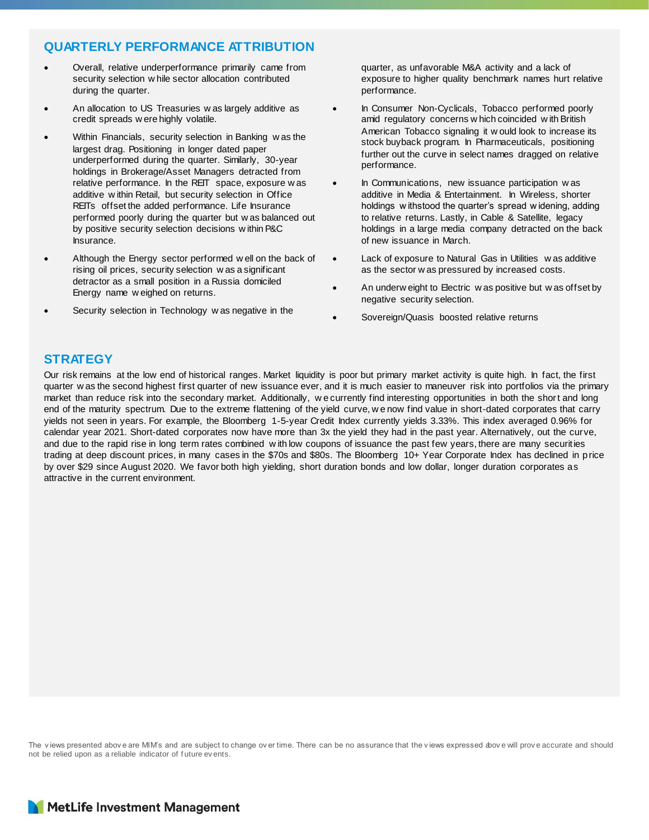# **QUARTERLY PERFORMANCE ATTRIBUTION**

- Overall, relative underperformance primarily came from security selection w hile sector allocation contributed during the quarter.
- An allocation to US Treasuries w as largely additive as credit spreads w ere highly volatile.
- Within Financials, security selection in Banking w as the largest drag. Positioning in longer dated paper underperformed during the quarter. Similarly, 30-year holdings in Brokerage/Asset Managers detracted from relative performance. In the REIT space, exposure w as additive w ithin Retail, but security selection in Office REITs offset the added performance. Life Insurance performed poorly during the quarter but w as balanced out by positive security selection decisions w ithin P&C Insurance.
- Although the Energy sector performed w ell on the back of rising oil prices, security selection w as a significant detractor as a small position in a Russia domiciled Energy name w eighed on returns.
- Security selection in Technology w as negative in the

quarter, as unfavorable M&A activity and a lack of exposure to higher quality benchmark names hurt relative performance.

- In Consumer Non-Cyclicals, Tobacco performed poorly amid regulatory concerns w hich coincided w ith British American Tobacco signaling it w ould look to increase its stock buyback program. In Pharmaceuticals, positioning further out the curve in select names dragged on relative performance.
- In Communications, new issuance participation w as additive in Media & Entertainment. In Wireless, shorter holdings w ithstood the quarter's spread w idening, adding to relative returns. Lastly, in Cable & Satellite, legacy holdings in a large media company detracted on the back of new issuance in March.
- Lack of exposure to Natural Gas in Utilities w as additive as the sector w as pressured by increased costs.
- An underw eight to Electric w as positive but w as offset by negative security selection.
- Sovereign/Quasis boosted relative returns

# **STRATEGY**

Our risk remains at the low end of historical ranges. Market liquidity is poor but primary market activity is quite high. In fact, the first quarter w as the second highest first quarter of new issuance ever, and it is much easier to maneuver risk into portfolios via the primary market than reduce risk into the secondary market. Additionally, w e currently find interesting opportunities in both the short and long end of the maturity spectrum. Due to the extreme flattening of the yield curve, w e now find value in short-dated corporates that carry yields not seen in years. For example, the Bloomberg 1-5-year Credit Index currently yields 3.33%. This index averaged 0.96% for calendar year 2021. Short-dated corporates now have more than 3x the yield they had in the past year. Alternatively, out the curve, and due to the rapid rise in long term rates combined w ith low coupons of issuance the past few years, there are many securities trading at deep discount prices, in many cases in the \$70s and \$80s. The Bloomberg 10+ Year Corporate Index has declined in price by over \$29 since August 2020. We favor both high yielding, short duration bonds and low dollar, longer duration corporates as attractive in the current environment.

The views presented above are MIM's and are subject to change over time. There can be no assurance that the views expressed above will prove accurate and should not be relied upon as a reliable indicator of f uture ev ents.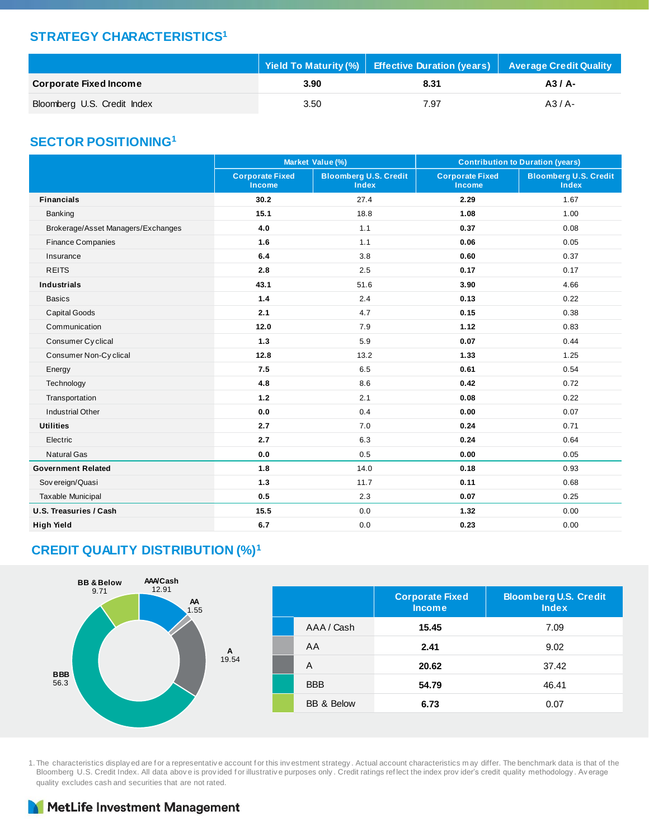### **STRATEGY CHARACTERISTICS<sup>1</sup>**

|                               |      | Yield To Maturity (%) Effective Duration (years) Average Credit Quality |          |
|-------------------------------|------|-------------------------------------------------------------------------|----------|
| <b>Corporate Fixed Income</b> | 3.90 | 8.31                                                                    | $A3/A$ - |
| Bloomberg U.S. Credit Index   | 3.50 | 7.97                                                                    | $A3/A$ - |

#### **SECTOR POSITIONING<sup>1</sup>**

|                                    | Market Value (%)                        |                                              | <b>Contribution to Duration (years)</b> |                                              |  |
|------------------------------------|-----------------------------------------|----------------------------------------------|-----------------------------------------|----------------------------------------------|--|
|                                    | <b>Corporate Fixed</b><br><b>Income</b> | <b>Bloomberg U.S. Credit</b><br><b>Index</b> | <b>Corporate Fixed</b><br><b>Income</b> | <b>Bloomberg U.S. Credit</b><br><b>Index</b> |  |
| <b>Financials</b>                  | 30.2                                    | 27.4                                         | 2.29                                    | 1.67                                         |  |
| Banking                            | 15.1                                    | 18.8                                         | 1.08                                    | 1.00                                         |  |
| Brokerage/Asset Managers/Exchanges | 4.0                                     | 1.1                                          | 0.37                                    | 0.08                                         |  |
| <b>Finance Companies</b>           | 1.6                                     | 1.1                                          | 0.06                                    | 0.05                                         |  |
| Insurance                          | 6.4                                     | 3.8                                          | 0.60                                    | 0.37                                         |  |
| <b>REITS</b>                       | 2.8                                     | 2.5                                          | 0.17                                    | 0.17                                         |  |
| <b>Industrials</b>                 | 43.1                                    | 51.6                                         | 3.90                                    | 4.66                                         |  |
| <b>Basics</b>                      | 1.4                                     | 2.4                                          | 0.13                                    | 0.22                                         |  |
| <b>Capital Goods</b>               | 2.1                                     | 4.7                                          | 0.15                                    | 0.38                                         |  |
| Communication                      | 12.0                                    | 7.9                                          | 1.12                                    | 0.83                                         |  |
| Consumer Cyclical                  | 1.3                                     | 5.9                                          | 0.07                                    | 0.44                                         |  |
| Consumer Non-Cyclical              | 12.8                                    | 13.2                                         | 1.33                                    | 1.25                                         |  |
| Energy                             | 7.5                                     | 6.5                                          | 0.61                                    | 0.54                                         |  |
| Technology                         | 4.8                                     | 8.6                                          | 0.42                                    | 0.72                                         |  |
| Transportation                     | $1.2$                                   | 2.1                                          | 0.08                                    | 0.22                                         |  |
| <b>Industrial Other</b>            | 0.0                                     | 0.4                                          | 0.00                                    | 0.07                                         |  |
| <b>Utilities</b>                   | 2.7                                     | 7.0                                          | 0.24                                    | 0.71                                         |  |
| Electric                           | 2.7                                     | 6.3                                          | 0.24                                    | 0.64                                         |  |
| <b>Natural Gas</b>                 | 0.0                                     | 0.5                                          | 0.00                                    | 0.05                                         |  |
| <b>Government Related</b>          | 1.8                                     | 14.0                                         | 0.18                                    | 0.93                                         |  |
| Sov ereign/Quasi                   | 1.3                                     | 11.7                                         | 0.11                                    | 0.68                                         |  |
| <b>Taxable Municipal</b>           | 0.5                                     | 2.3                                          | 0.07                                    | 0.25                                         |  |
| U.S. Treasuries / Cash             | 15.5                                    | 0.0                                          | 1.32                                    | 0.00                                         |  |
| <b>High Yield</b>                  | 6.7                                     | 0.0                                          | 0.23                                    | 0.00                                         |  |

# **CREDIT QUALITY DISTRIBUTION (%)<sup>1</sup>**



1. The characteristics display ed are for a representative account for this investment strategy. Actual account characteristics may differ. The benchmark data is that of the Bloomberg U.S. Credit Index. All data abov e is prov ided f or illustrativ e purposes only . Credit ratings ref lect the index prov ider's credit quality methodology . Av erage quality excludes cash and securities that are not rated.

# MetLife Investment Management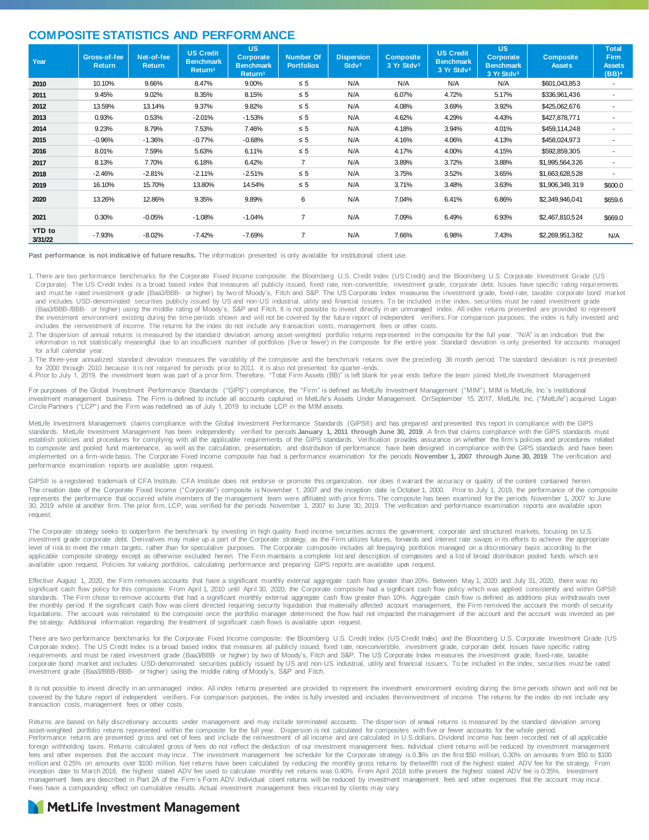#### **COMPOSITE STATISTICS AND PERFORMANCE**

| Year                     | Gross-of-fee<br>Return | Net-of-fee<br><b>Return</b> | <b>US Credit</b><br><b>Benchmark</b><br>Return <sup>1</sup> | <b>US</b><br><b>Corporate</b><br><b>Benchmark</b><br>Return <sup>1</sup> | <b>Number Of</b><br><b>Portfolios</b> | <b>Dispersion</b><br>Stdv <sup>2</sup> | <b>Composite</b><br>3 Yr Stdv <sup>3</sup> | <b>US Credit</b><br><b>Benchmark</b><br>3 Yr Stdv3 | <b>US</b><br><b>Corporate</b><br><b>Benchmark</b><br>3 Yr Stdv3 | <b>Composite</b><br><b>Assets</b> | <b>Total</b><br><b>Firm</b><br><b>Assets</b><br>(BB) <sup>4</sup> |
|--------------------------|------------------------|-----------------------------|-------------------------------------------------------------|--------------------------------------------------------------------------|---------------------------------------|----------------------------------------|--------------------------------------------|----------------------------------------------------|-----------------------------------------------------------------|-----------------------------------|-------------------------------------------------------------------|
| 2010                     | 10.10%                 | 9.66%                       | 8.47%                                                       | 9.00%                                                                    | $\leq 5$                              | N/A                                    | N/A                                        | N/A                                                | N/A                                                             | \$601,043,853                     |                                                                   |
| 2011                     | 9.45%                  | 9.02%                       | 8.35%                                                       | 8.15%                                                                    | $\leq 5$                              | N/A                                    | 6.07%                                      | 4.72%                                              | 5.17%                                                           | \$336,961,436                     | ۰                                                                 |
| 2012                     | 13.59%                 | 13.14%                      | 9.37%                                                       | 9.82%                                                                    | $\leq 5$                              | N/A                                    | 4.08%                                      | 3.69%                                              | 3.92%                                                           | \$425,062,676                     | ۰                                                                 |
| 2013                     | 0.93%                  | 0.53%                       | $-2.01%$                                                    | $-1.53%$                                                                 | $\leq 5$                              | N/A                                    | 4.62%                                      | 4.29%                                              | 4.43%                                                           | \$427,878,771                     |                                                                   |
| 2014                     | 9.23%                  | 8.79%                       | 7.53%                                                       | 7.46%                                                                    | $\leq 5$                              | N/A                                    | 4.18%                                      | 3.94%                                              | 4.01%                                                           | \$459,114,248                     |                                                                   |
| 2015                     | $-0.96%$               | $-1.36%$                    | $-0.77%$                                                    | $-0.68%$                                                                 | $\leq 5$                              | N/A                                    | 4.16%                                      | 4.06%                                              | 4.13%                                                           | \$458,024,973                     |                                                                   |
| 2016                     | 8.01%                  | 7.59%                       | 5.63%                                                       | 6.11%                                                                    | $\leq 5$                              | N/A                                    | 4.17%                                      | 4.00%                                              | 4.15%                                                           | \$592,859,305                     |                                                                   |
| 2017                     | 8.13%                  | 7.70%                       | 6.18%                                                       | 6.42%                                                                    | $\overline{7}$                        | N/A                                    | 3.89%                                      | 3.72%                                              | 3.88%                                                           | \$1,995,564,326                   | ۰                                                                 |
| 2018                     | $-2.46%$               | $-2.81%$                    | $-2.11%$                                                    | $-2.51%$                                                                 | $\leq 5$                              | N/A                                    | 3.75%                                      | 3.52%                                              | 3.65%                                                           | \$1,663,628,528                   |                                                                   |
| 2019                     | 16.10%                 | 15.70%                      | 13.80%                                                      | 14.54%                                                                   | $\leq 5$                              | N/A                                    | 3.71%                                      | 3.48%                                              | 3.63%                                                           | \$1,906,349,319                   | \$600.0                                                           |
| 2020                     | 13.26%                 | 12.86%                      | 9.35%                                                       | 9.89%                                                                    | 6                                     | N/A                                    | 7.04%                                      | 6.41%                                              | 6.86%                                                           | \$2,349,946,041                   | \$659.6                                                           |
| 2021                     | 0.30%                  | $-0.05%$                    | $-1.08%$                                                    | $-1.04%$                                                                 | $\overline{7}$                        | N/A                                    | 7.09%                                      | 6.49%                                              | 6.93%                                                           | \$2,467,810,524                   | \$669.0                                                           |
| <b>YTD</b> to<br>3/31/22 | $-7.93%$               | $-8.02%$                    | $-7.42%$                                                    | $-7.69%$                                                                 | 7                                     | N/A                                    | 7.66%                                      | 6.98%                                              | 7.43%                                                           | \$2,269,951,382                   | N/A                                                               |

**Past performance is not indicative of future results.** The information presented is only available for institutional client use.

- 1. There are two performance benchmarks for the Corporate Fixed Income composite: the Bloomberg U.S. Credit Index (US Credit) and the Bloomberg U.S. Corporate Investment Grade (US Corporate). The US Credit Index is a broad based index that measures all publicly issued, fixed rate, non-convertible, investment grade, corporate debt. Issues have specific rating requirements and must be rated investment grade (Baa3/BBB- or higher) by two of Moody's, Fitch and S&P. The US Corporate Index measures the investment grade, fixed-rate, taxable corporate bond market and includes USD-denominated securities publicly issued by US and non-US industrial, utility and financial issuers. To be included in the index, securities must be rated investment grade (Baa3/BBB-/BBB- or higher) using the middle rating of Moody's, S&P and Fitch. It is not possible to invest directly in an unmanaged index. All index returns presented are provided to represent the investment environment existing during the time periods shown and will not be covered by the future report of independent verifiers. For comparison purposes, the index is fully invested and includes the reinvestment of income. The returns for the index do not include any transaction costs, management fees or other costs.
- 2. The dispersion of annual returns is measured by the standard deviation among asset-weighted portfolio returns represented in the composite for the full year. "N/A" is an indication that the<br>information is not statistica for a full calendar year.
- 3. The three-year annualized standard deviation measures the variability of the composite and the benchmark returns over the preceding 36 month period. The standard deviation is not presented for 2000 through 2010 because it is not required for periods prior to 2011. It is also not presented for quarter-ends.
- 4. Prior to July 1, 2019, the investment team was part of a prior firm. Therefore, "Total Firm Assets (BB)" is left blank for year ends before the team joined MetLife Investment Management

For purposes of the Global Investment Performance Standards ("GIPS") compliance, the "Firm" is defined as MetLife Investment Management ("MIM"). MIM is MetLife, Inc.'s institutional investment management business. The Firm is defined to include all accounts captured in MetLife's Assets Under Management. OnSeptember 15, 2017, MetLife, Inc. ("MetLife") acquired Logan<br>Circle Partners ("LCP") and the Fir

MetLife Investment Management claims compliance with the Global Investment Performance Standards (GIPS®) and has prepared and presented this report in compliance with the GIPS standards. MetLife Investment Management has been independently verified for periods **January 1, 2011 through June 30, 2019**. A firm that claims compliance with the GIPS standards must establish policies and procedures for complying with all the applicable requirements of the GIPS standards. Verification provides assurance on whether the firm's policies and procedures related to composite and pooled fund maintenance, as well as the calculation, presentation, and distribution of performance, have been designed in compliance with the GIPS standards and have been implemented on a firm-wide basis. The Corporate Fixed Income composite has had a performance examination for the periods **November 1, 2007 through June 30, 2019**. The verification and performance examination reports are available upon request.

GIPS® is a registered trademark of CFA Institute. CFA Institute does not endorse or promote this organization, nor does it warrant the accuracy or quality of the content contained herein. The creation date of the Corporate Fixed Income ("Corporate") composite is November 1, 2007 and the inception date is October 1, 2000. Prior to July 1, 2019, the performance of the composite represents the performance that occurred while members of the management team were affiliated with prior firms. The composite has been examined for the periods November 1, 2007 to June 30, 2019 while at another firm. The prior firm, LCP, was verified for the periods November 1, 2007 to June 30, 2019. The verification and performance examination reports are available upon request.

The Corporate strategy seeks to outperform the benchmark by investing in high quality fixed income securities across the government, corporate and structured markets, focusing on U.S. investment grade corporate debt. Derivatives may make up a part of the Corporate strategy, as the Firm utilizes futures, forwards and interest rate swaps in its efforts to achieve the appropriate level of risk to meet the return targets, rather than for speculative purposes. The Corporate composite includes all fee paying portfolios managed on a discretionary basis according to the applicable composite strategy except as otherwise excluded herein. The Firm maintains a complete list and description of composites and a list of broad distribution pooled funds which are available upon request. Policies for valuing portfolios, calculating performance and preparing GIPS reports are available upon request.

Effective August 1, 2020, the Firm removes accounts that have a significant monthly external aggregate cash flow greater than 20%. Between May 1, 2020 and July 31, 2020, there was no significant cash flow policy for this composite. From April 1, 2010 until April 30, 2020, the Corporate composite had a significant cash flow policy which was applied consistently and within GIPS® standards. The Firm chose to remove accounts that had a significant monthly external aggregate cash flow greater than 10%. Aggregate cash flow is defined as additions plus withdrawals over the monthly period. If the significant cash flow was client directed requiring security liquidation that materially affected account management, the Firm removed the account the month of security liquidations. The account was reinstated to the composite once the portfolio manager determined the flow had not impacted the management of the account and the account was invested as per the strategy. Additional information regarding the treatment of significant cash flows is available upon request.

There are two performance benchmarks for the Corporate Fixed Income composite: the Bloomberg U.S. Credit Index (US Credit Index) and the Bloomberg U.S. Corporate Investment Grade (US Corporate Index). The US Credit Index is a broad based index that measures all publicly issued, fixed rate, non-convertible, investment grade, corporate debt. Issues have specific rating requirements and must be rated investment grade (Baa3/BBB- or higher) by two of Moody's, Fitch and S&P. The US Corporate Index measures the investment grade, fixed-rate, taxable corporate bond market and includes USD-denominated securities publicly issued by US and non-US industrial, utility and financial issuers. To be included in the index, securities must be rated investment grade (Baa3/BBB-/BBB- or higher) using the middle rating of Moody's, S&P and Fitch.

It is not possible to invest directly in an unmanaged index. All index returns presented are provided to represent the investment environment existing during the time periods shown and will not be covered by the future report of independent verifiers. For comparison purposes, the index is fully invested and includes the reinvestment of income. The returns for the index do not include any transaction costs, management fees or other costs.

Returns are based on fully discretionary accounts under management and may include terminated accounts. The dispersion of annual returns is measured by the standard deviation among asset-weighted portfolio returns represented within the composite for the full year. Dispersion is not calculated for composites with five or fewer accounts for the whole period. Performance returns are presented gross and net of fees and include the reinvestment of all income and are calculated in U.S.dollars. Dividend income has been recorded net of all applicable foreign withholding taxes. Returns calculated gross of fees do not reflect the deduction of our investment management fees. hdividual client returns will be reduced by investment management fees and other expenses that the account may incur. The investment management fee schedule for the Corporate strategy is 0.35% on the first \$50 million, 0.30% on amounts from \$50 to \$100 million and 0.25% on amounts over \$100 million. Net returns have been calculated by reducing the monthly gross returns by thetwelfth root of the highest stated ADV fee for the strategy. From<br>inception date to March 2018, t management fees are described in Part 2A of the Firm's Form ADV. Individual client returns will be reduced by investment management fees and other expenses that the account may incur. Fees have a compounding effect on cumulative results. Actual investment management fees incurred by clients may vary.

#### MetLife Investment Management